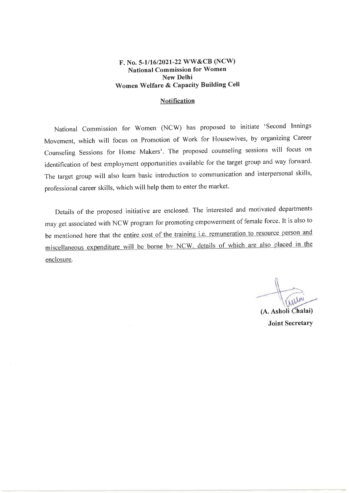### F. No. 5-1/16/2021-22 WW&CB (NCW) **National Commission for Women New Delhi** Women Welfare & Capacity Building Cell

#### **Notification**

National Commission for Women (NCW) has proposed to initiate 'Second Innings Movement, which will focus on Promotion of Work for Housewives, by organizing Career Counseling Sessions for Home Makers'. The proposed counseling sessions will focus on identification of best employment opportunities available for the target group and way forward. The target group will also learn basic introduction to communication and interpersonal skills, professional career skills, which will help them to enter the market.

Details of the proposed initiative are enclosed. The interested and motivated departments may get associated with NCW program for promoting empowerment of female force. It is also to be mentioned here that the entire cost of the training i.e. remuneration to resource person and miscellaneous expenditure will be borne by NCW, details of which are also placed in the enclosure.

(A. Asholi Chalai) **Joint Secretary**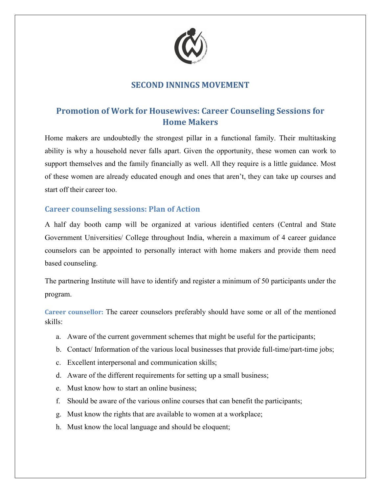

# **SECOND INNINGS MOVEMENT**

# **Promotion of Work for Housewives: Career Counseling Sessions for Home Makers**

Home makers are undoubtedly the strongest pillar in a functional family. Their multitasking ability is why a household never falls apart. Given the opportunity, these women can work to support themselves and the family financially as well. All they require is a little guidance. Most of these women are already educated enough and ones that aren't, they can take up courses and start off their career too.

### **Career counseling sessions: Plan of Action**

A half day booth camp will be organized at various identified centers (Central and State Government Universities/ College throughout India, wherein a maximum of 4 career guidance counselors can be appointed to personally interact with home makers and provide them need based counseling.

The partnering Institute will have to identify and register a minimum of 50 participants under the program.

**Career counsellor:** The career counselors preferably should have some or all of the mentioned skills:

- a. Aware of the current government schemes that might be useful for the participants;
- b. Contact/ Information of the various local businesses that provide full-time/part-time jobs;
- c. Excellent interpersonal and communication skills;
- d. Aware of the different requirements for setting up a small business;
- e. Must know how to start an online business;
- f. Should be aware of the various online courses that can benefit the participants;
- g. Must know the rights that are available to women at a workplace;
- h. Must know the local language and should be eloquent;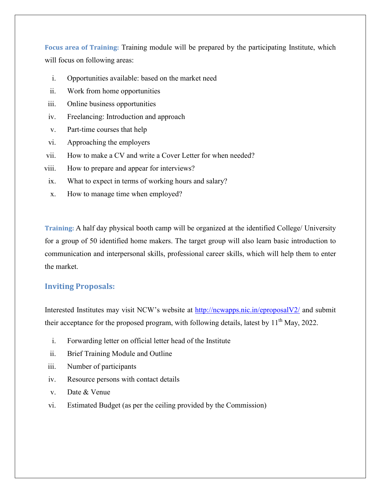**Focus area of Training:** Training module will be prepared by the participating Institute, which will focus on following areas:

- i. Opportunities available: based on the market need
- ii. Work from home opportunities
- iii. Online business opportunities
- iv. Freelancing: Introduction and approach
- v. Part-time courses that help
- vi. Approaching the employers
- vii. How to make a CV and write a Cover Letter for when needed?
- viii. How to prepare and appear for interviews?
- ix. What to expect in terms of working hours and salary?
- x. How to manage time when employed?

**Training:** A half day physical booth camp will be organized at the identified College/ University for a group of 50 identified home makers. The target group will also learn basic introduction to communication and interpersonal skills, professional career skills, which will help them to enter the market.

### **Inviting Proposals:**

Interested Institutes may visit NCW's website at http://ncwapps.nic.in/eproposalV2/ and submit their acceptance for the proposed program, with following details, latest by  $11<sup>th</sup>$  May, 2022.

- i. Forwarding letter on official letter head of the Institute
- ii. Brief Training Module and Outline
- iii. Number of participants
- iv. Resource persons with contact details
- v. Date & Venue
- vi. Estimated Budget (as per the ceiling provided by the Commission)